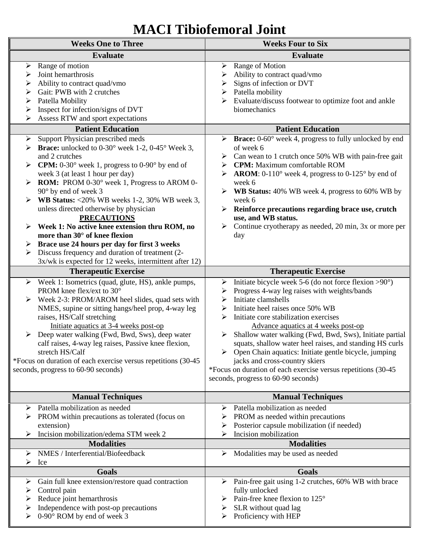## **MACI Tibiofemoral Joint**

| <b>Weeks One to Three</b>                                                                                                 |                                                                                                                                                                                                                                                                                                                                                                                                                                                                     | <b>Weeks Four to Six</b>                                                                                                                                                                                                                                                                                                                                                                                                                                                                                                                                                                                                          |
|---------------------------------------------------------------------------------------------------------------------------|---------------------------------------------------------------------------------------------------------------------------------------------------------------------------------------------------------------------------------------------------------------------------------------------------------------------------------------------------------------------------------------------------------------------------------------------------------------------|-----------------------------------------------------------------------------------------------------------------------------------------------------------------------------------------------------------------------------------------------------------------------------------------------------------------------------------------------------------------------------------------------------------------------------------------------------------------------------------------------------------------------------------------------------------------------------------------------------------------------------------|
|                                                                                                                           | <b>Evaluate</b>                                                                                                                                                                                                                                                                                                                                                                                                                                                     | <b>Evaluate</b>                                                                                                                                                                                                                                                                                                                                                                                                                                                                                                                                                                                                                   |
| Range of motion<br>➤<br>Joint hemarthrosis<br>➤<br>➤<br>Gait: PWB with 2 crutches<br>➤<br>Patella Mobility<br>➤<br>➤<br>➤ | Ability to contract quad/vmo<br>Inspect for infection/signs of DVT<br>Assess RTW and sport expectations                                                                                                                                                                                                                                                                                                                                                             | Range of Motion<br>➤<br>Ability to contract quad/vmo<br>Signs of infection or DVT<br>➤<br>Patella mobility<br>Evaluate/discuss footwear to optimize foot and ankle<br>biomechanics                                                                                                                                                                                                                                                                                                                                                                                                                                                |
| <b>Patient Education</b>                                                                                                  |                                                                                                                                                                                                                                                                                                                                                                                                                                                                     | <b>Patient Education</b>                                                                                                                                                                                                                                                                                                                                                                                                                                                                                                                                                                                                          |
| ➤<br>and 2 crutches<br>➤<br>90° by end of week 3                                                                          | Support Physician prescribed meds<br><b>Example 3</b> Example 1-2, 0-45° Week 3,<br><b>CPM:</b> $0-30^\circ$ week 1, progress to $0-90^\circ$ by end of<br>week 3 (at least 1 hour per day)<br><b>ROM:</b> PROM 0-30° week 1, Progress to AROM 0-<br><b>WB Status:</b> <20% WB weeks 1-2, 30% WB week 3,<br>unless directed otherwise by physician<br><b>PRECAUTIONS</b><br>Week 1: No active knee extension thru ROM, no<br>more than $30^{\circ}$ of knee flexion | Brace: 0-60° week 4, progress to fully unlocked by end<br>➤<br>of week 6<br>Can wean to 1 crutch once 50% WB with pain-free gait<br><b>CPM:</b> Maximum comfortable ROM<br><b>AROM:</b> 0-110 $^{\circ}$ week 4, progress to 0-125 $^{\circ}$ by end of<br>week 6<br>WB Status: 40% WB week 4, progress to 60% WB by<br>➤<br>week 6<br>Reinforce precautions regarding brace use, crutch<br>➤<br>use, and WB status.<br>Continue cryotherapy as needed, 20 min, 3x or more per<br>day                                                                                                                                             |
|                                                                                                                           | Brace use 24 hours per day for first 3 weeks<br>Discuss frequency and duration of treatment (2-<br>3x/wk is expected for 12 weeks, intermittent after 12)                                                                                                                                                                                                                                                                                                           |                                                                                                                                                                                                                                                                                                                                                                                                                                                                                                                                                                                                                                   |
|                                                                                                                           | <b>Therapeutic Exercise</b>                                                                                                                                                                                                                                                                                                                                                                                                                                         | <b>Therapeutic Exercise</b>                                                                                                                                                                                                                                                                                                                                                                                                                                                                                                                                                                                                       |
| ➤<br>PROM knee flex/ext to 30°<br>raises, HS/Calf stretching<br>stretch HS/Calf<br>seconds, progress to 60-90 seconds)    | Week 1: Isometrics (quad, glute, HS), ankle pumps,<br>Week 2-3: PROM/AROM heel slides, quad sets with<br>NMES, supine or sitting hangs/heel prop, 4-way leg<br>Initiate aquatics at 3-4 weeks post-op<br>Deep water walking (Fwd, Bwd, Sws), deep water<br>calf raises, 4-way leg raises, Passive knee flexion,<br>*Focus on duration of each exercise versus repetitions (30-45                                                                                    | Initiate bicycle week 5-6 (do not force flexion $>90^\circ$ )<br>➤<br>Progress 4-way leg raises with weights/bands<br>➤<br>Initiate clamshells<br>⋗<br>Initiate heel raises once 50% WB<br>➤<br>Initiate core stabilization exercises<br>➤<br>Advance aquatics at 4 weeks post-op<br>Shallow water walking (Fwd, Bwd, Sws), Initiate partial<br>➤<br>squats, shallow water heel raises, and standing HS curls<br>$\triangleright$ Open Chain aquatics: Initiate gentle bicycle, jumping<br>jacks and cross-country skiers<br>*Focus on duration of each exercise versus repetitions (30-45<br>seconds, progress to 60-90 seconds) |
|                                                                                                                           | <b>Manual Techniques</b>                                                                                                                                                                                                                                                                                                                                                                                                                                            | <b>Manual Techniques</b>                                                                                                                                                                                                                                                                                                                                                                                                                                                                                                                                                                                                          |
| ➤<br>extension)                                                                                                           | Patella mobilization as needed<br>PROM within precautions as tolerated (focus on<br>Incision mobilization/edema STM week 2<br><b>Modalities</b>                                                                                                                                                                                                                                                                                                                     | Patella mobilization as needed<br>➤<br>PROM as needed within precautions<br>➤<br>Posterior capsule mobilization (if needed)<br>➤<br>Incision mobilization<br><b>Modalities</b>                                                                                                                                                                                                                                                                                                                                                                                                                                                    |
| ➤                                                                                                                         | NMES / Interferential/Biofeedback                                                                                                                                                                                                                                                                                                                                                                                                                                   | Modalities may be used as needed<br>➤                                                                                                                                                                                                                                                                                                                                                                                                                                                                                                                                                                                             |
| ⋗<br>Ice                                                                                                                  |                                                                                                                                                                                                                                                                                                                                                                                                                                                                     |                                                                                                                                                                                                                                                                                                                                                                                                                                                                                                                                                                                                                                   |
| ➤<br>Control pain<br>➤<br>Reduce joint hemarthrosis<br>⋗                                                                  | <b>Goals</b><br>Gain full knee extension/restore quad contraction<br>Independence with post-op precautions<br>0-90° ROM by end of week 3                                                                                                                                                                                                                                                                                                                            | <b>Goals</b><br>Pain-free gait using 1-2 crutches, 60% WB with brace<br>➤<br>fully unlocked<br>Pain-free knee flexion to 125°<br>➤<br>SLR without quad lag<br>Proficiency with HEP                                                                                                                                                                                                                                                                                                                                                                                                                                                |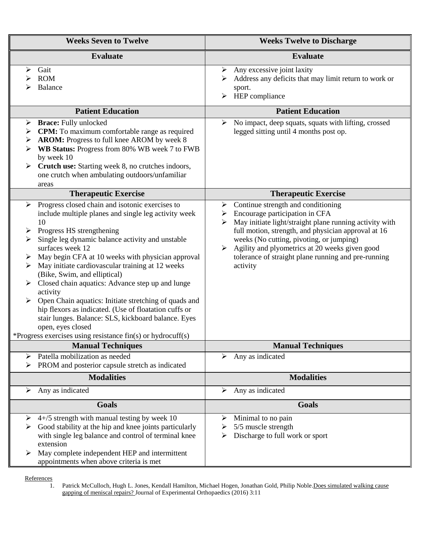| <b>Weeks Seven to Twelve</b>                                                                                                                                                                                                                                                                                                                                                                                                                                                                                                                                                                                                                                                                                           | <b>Weeks Twelve to Discharge</b>                                                                                                                                                                                                                                                                                                                                       |
|------------------------------------------------------------------------------------------------------------------------------------------------------------------------------------------------------------------------------------------------------------------------------------------------------------------------------------------------------------------------------------------------------------------------------------------------------------------------------------------------------------------------------------------------------------------------------------------------------------------------------------------------------------------------------------------------------------------------|------------------------------------------------------------------------------------------------------------------------------------------------------------------------------------------------------------------------------------------------------------------------------------------------------------------------------------------------------------------------|
| <b>Evaluate</b>                                                                                                                                                                                                                                                                                                                                                                                                                                                                                                                                                                                                                                                                                                        | <b>Evaluate</b>                                                                                                                                                                                                                                                                                                                                                        |
| Gait<br>≻<br><b>ROM</b><br>⋗<br>Balance                                                                                                                                                                                                                                                                                                                                                                                                                                                                                                                                                                                                                                                                                | Any excessive joint laxity<br>➤<br>Address any deficits that may limit return to work or<br>sport.<br>HEP compliance<br>➤                                                                                                                                                                                                                                              |
| <b>Patient Education</b>                                                                                                                                                                                                                                                                                                                                                                                                                                                                                                                                                                                                                                                                                               | <b>Patient Education</b>                                                                                                                                                                                                                                                                                                                                               |
| <b>Brace:</b> Fully unlocked<br>➤<br><b>CPM:</b> To maximum comfortable range as required<br>➤<br>AROM: Progress to full knee AROM by week 8<br>➤<br>WB Status: Progress from 80% WB week 7 to FWB<br>➤<br>by week 10<br>Crutch use: Starting week 8, no crutches indoors,<br>➤<br>one crutch when ambulating outdoors/unfamiliar<br>areas                                                                                                                                                                                                                                                                                                                                                                             | No impact, deep squats, squats with lifting, crossed<br>➤<br>legged sitting until 4 months post op.                                                                                                                                                                                                                                                                    |
| <b>Therapeutic Exercise</b>                                                                                                                                                                                                                                                                                                                                                                                                                                                                                                                                                                                                                                                                                            | <b>Therapeutic Exercise</b>                                                                                                                                                                                                                                                                                                                                            |
| Progress closed chain and isotonic exercises to<br>➤<br>include multiple planes and single leg activity week<br>10<br>Progress HS strengthening<br>➤<br>Single leg dynamic balance activity and unstable<br>➤<br>surfaces week 12<br>May begin CFA at 10 weeks with physician approval<br>May initiate cardiovascular training at 12 weeks<br>≻<br>(Bike, Swim, and elliptical)<br>Closed chain aquatics: Advance step up and lunge<br>➤<br>activity<br>Open Chain aquatics: Initiate stretching of quads and<br>➤<br>hip flexors as indicated. (Use of floatation cuffs or<br>stair lunges. Balance: SLS, kickboard balance. Eyes<br>open, eyes closed<br>*Progress exercises using resistance fin(s) or hydrocuff(s) | Continue strength and conditioning<br>➤<br>Encourage participation in CFA<br>➤<br>May initiate light/straight plane running activity with<br>➤<br>full motion, strength, and physician approval at 16<br>weeks (No cutting, pivoting, or jumping)<br>Agility and plyometrics at 20 weeks given good<br>tolerance of straight plane running and pre-running<br>activity |
| <b>Manual Techniques</b>                                                                                                                                                                                                                                                                                                                                                                                                                                                                                                                                                                                                                                                                                               | <b>Manual Techniques</b>                                                                                                                                                                                                                                                                                                                                               |
| Patella mobilization as needed<br>➤<br>PROM and posterior capsule stretch as indicated                                                                                                                                                                                                                                                                                                                                                                                                                                                                                                                                                                                                                                 | Any as indicated<br>➤                                                                                                                                                                                                                                                                                                                                                  |
| <b>Modalities</b>                                                                                                                                                                                                                                                                                                                                                                                                                                                                                                                                                                                                                                                                                                      | <b>Modalities</b>                                                                                                                                                                                                                                                                                                                                                      |
| Any as indicated<br>➤                                                                                                                                                                                                                                                                                                                                                                                                                                                                                                                                                                                                                                                                                                  | Any as indicated<br>➤                                                                                                                                                                                                                                                                                                                                                  |
| <b>Goals</b>                                                                                                                                                                                                                                                                                                                                                                                                                                                                                                                                                                                                                                                                                                           | <b>Goals</b>                                                                                                                                                                                                                                                                                                                                                           |
| $4+/5$ strength with manual testing by week 10<br>➤<br>Good stability at the hip and knee joints particularly<br>➤<br>with single leg balance and control of terminal knee<br>extension<br>May complete independent HEP and intermittent<br>➤<br>appointments when above criteria is met                                                                                                                                                                                                                                                                                                                                                                                                                               | Minimal to no pain<br>➤<br>5/5 muscle strength<br>➤<br>Discharge to full work or sport<br>➤                                                                                                                                                                                                                                                                            |

 $\frac{\text{References}}{1}$ 

Patrick McCulloch, Hugh L. Jones, Kendall Hamilton, Michael Hogen, Jonathan Gold, Philip Noble. Does simulated walking cause gapping of meniscal repairs? Journal of Experimental Orthopaedics (2016) 3:11